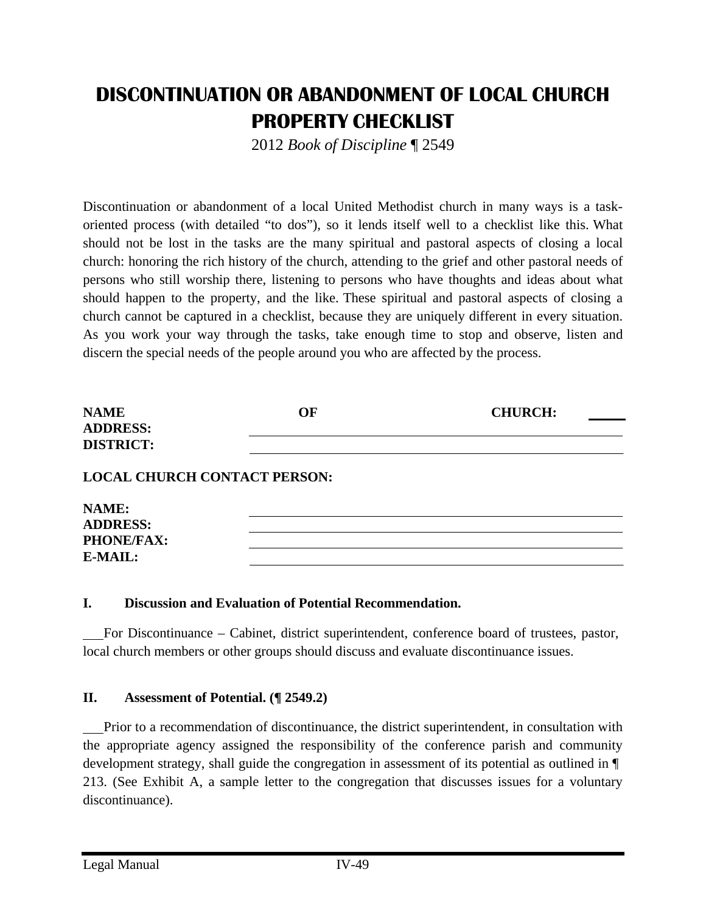# **DISCONTINUATION OR ABANDONMENT OF LOCAL CHURCH PROPERTY CHECKLIST**

2012 *Book of Discipline* ¶ 2549

Discontinuation or abandonment of a local United Methodist church in many ways is a taskoriented process (with detailed "to dos"), so it lends itself well to a checklist like this. What should not be lost in the tasks are the many spiritual and pastoral aspects of closing a local church: honoring the rich history of the church, attending to the grief and other pastoral needs of persons who still worship there, listening to persons who have thoughts and ideas about what should happen to the property, and the like. These spiritual and pastoral aspects of closing a church cannot be captured in a checklist, because they are uniquely different in every situation. As you work your way through the tasks, take enough time to stop and observe, listen and discern the special needs of the people around you who are affected by the process.

| <b>NAME</b>                         | OF | <b>CHURCH:</b> |
|-------------------------------------|----|----------------|
| <b>ADDRESS:</b>                     |    |                |
| <b>DISTRICT:</b>                    |    |                |
| <b>LOCAL CHURCH CONTACT PERSON:</b> |    |                |
| NAME:                               |    |                |
| <b>ADDRESS:</b>                     |    |                |
| <b>PHONE/FAX:</b>                   |    |                |
| E-MAIL:                             |    |                |

#### **I. Discussion and Evaluation of Potential Recommendation.**

 For Discontinuance – Cabinet, district superintendent, conference board of trustees, pastor, local church members or other groups should discuss and evaluate discontinuance issues.

#### **II. Assessment of Potential. (¶ 2549.2)**

 Prior to a recommendation of discontinuance, the district superintendent, in consultation with the appropriate agency assigned the responsibility of the conference parish and community development strategy, shall guide the congregation in assessment of its potential as outlined in ¶ 213. (See Exhibit A, a sample letter to the congregation that discusses issues for a voluntary discontinuance).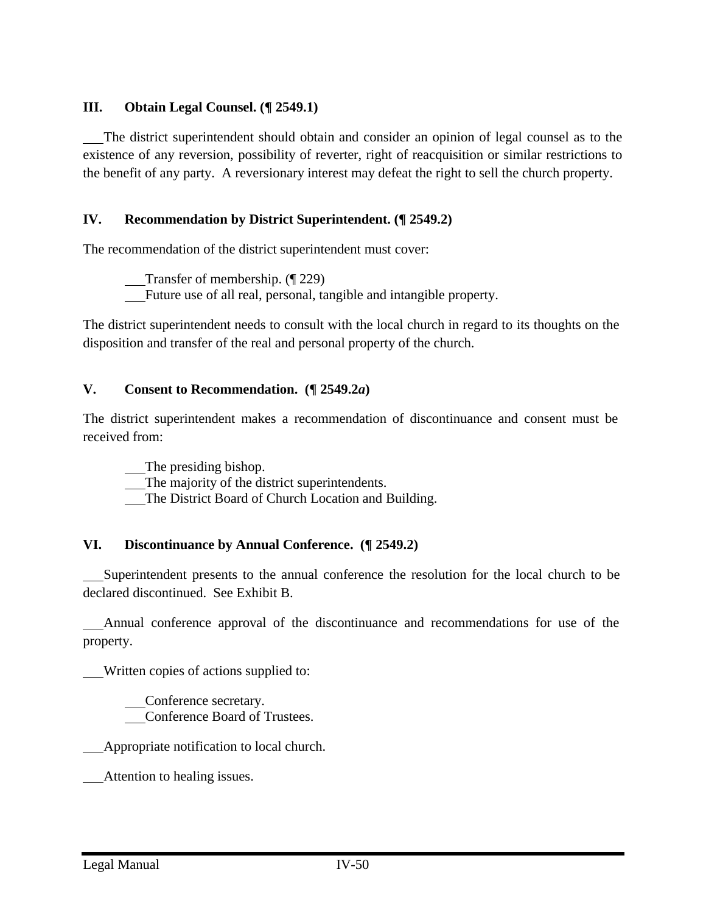### **III. Obtain Legal Counsel. (¶ 2549.1)**

 The district superintendent should obtain and consider an opinion of legal counsel as to the existence of any reversion, possibility of reverter, right of reacquisition or similar restrictions to the benefit of any party. A reversionary interest may defeat the right to sell the church property.

### **IV. Recommendation by District Superintendent. (¶ 2549.2)**

The recommendation of the district superintendent must cover:

Transfer of membership. (¶ 229)

Future use of all real, personal, tangible and intangible property.

The district superintendent needs to consult with the local church in regard to its thoughts on the disposition and transfer of the real and personal property of the church.

#### **V. Consent to Recommendation. (¶ 2549.2***a***)**

The district superintendent makes a recommendation of discontinuance and consent must be received from:

The presiding bishop.

The majority of the district superintendents.

The District Board of Church Location and Building.

#### **VI. Discontinuance by Annual Conference. (¶ 2549.2)**

 Superintendent presents to the annual conference the resolution for the local church to be declared discontinued. See Exhibit B.

 Annual conference approval of the discontinuance and recommendations for use of the property.

Written copies of actions supplied to:

 Conference secretary. Conference Board of Trustees.

Appropriate notification to local church.

Attention to healing issues.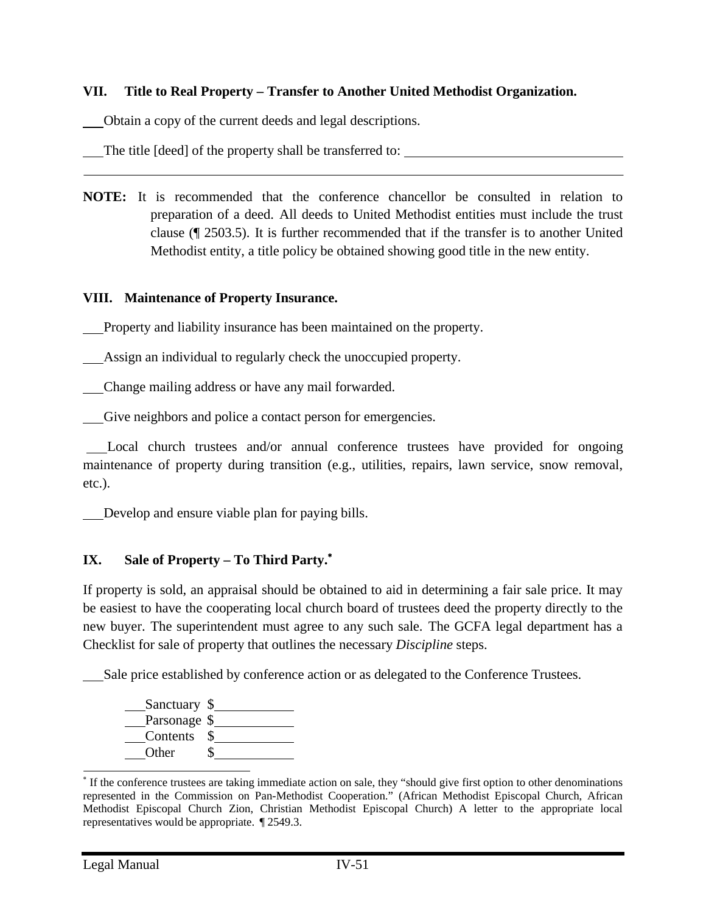### **VII. Title to Real Property – Transfer to Another United Methodist Organization.**

Obtain a copy of the current deeds and legal descriptions.

The title [deed] of the property shall be transferred to:

**NOTE:** It is recommended that the conference chancellor be consulted in relation to preparation of a deed. All deeds to United Methodist entities must include the trust clause (¶ 2503.5). It is further recommended that if the transfer is to another United Methodist entity, a title policy be obtained showing good title in the new entity.

#### **VIII. Maintenance of Property Insurance.**

Property and liability insurance has been maintained on the property.

Assign an individual to regularly check the unoccupied property.

Change mailing address or have any mail forwarded.

Give neighbors and police a contact person for emergencies.

 Local church trustees and/or annual conference trustees have provided for ongoing maintenance of property during transition (e.g., utilities, repairs, lawn service, snow removal, etc.).

Develop and ensure viable plan for paying bills.

## **IX. Sale of Property – To Third Party.**

If property is sold, an appraisal should be obtained to aid in determining a fair sale price. It may be easiest to have the cooperating local church board of trustees deed the property directly to the new buyer. The superintendent must agree to any such sale. The GCFA legal department has a Checklist for sale of property that outlines the necessary *Discipline* steps.

Sale price established by conference action or as delegated to the Conference Trustees.



If the conference trustees are taking immediate action on sale, they "should give first option to other denominations" represented in the Commission on Pan-Methodist Cooperation." (African Methodist Episcopal Church, African Methodist Episcopal Church Zion, Christian Methodist Episcopal Church) A letter to the appropriate local representatives would be appropriate. ¶ 2549.3.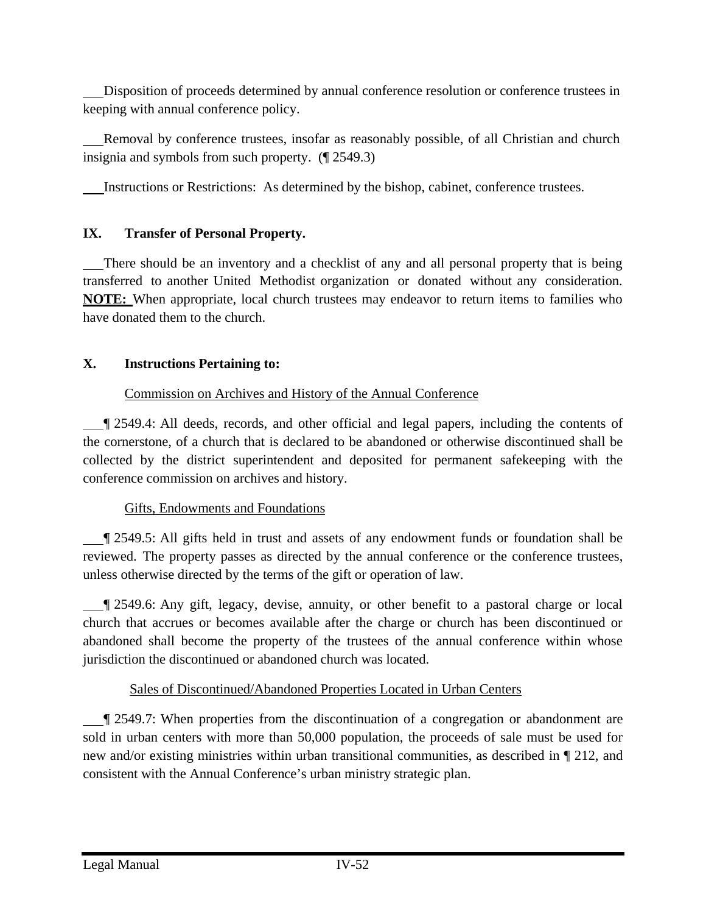Disposition of proceeds determined by annual conference resolution or conference trustees in keeping with annual conference policy.

 Removal by conference trustees, insofar as reasonably possible, of all Christian and church insignia and symbols from such property. (¶ 2549.3)

Instructions or Restrictions: As determined by the bishop, cabinet, conference trustees.

# **IX. Transfer of Personal Property.**

 There should be an inventory and a checklist of any and all personal property that is being transferred to another United Methodist organization or donated without any consideration. **NOTE:** When appropriate, local church trustees may endeavor to return items to families who have donated them to the church.

# **X. Instructions Pertaining to:**

# Commission on Archives and History of the Annual Conference

 ¶ 2549.4: All deeds, records, and other official and legal papers, including the contents of the cornerstone, of a church that is declared to be abandoned or otherwise discontinued shall be collected by the district superintendent and deposited for permanent safekeeping with the conference commission on archives and history.

# Gifts, Endowments and Foundations

**T** 2549.5: All gifts held in trust and assets of any endowment funds or foundation shall be reviewed. The property passes as directed by the annual conference or the conference trustees, unless otherwise directed by the terms of the gift or operation of law.

 ¶ 2549.6: Any gift, legacy, devise, annuity, or other benefit to a pastoral charge or local church that accrues or becomes available after the charge or church has been discontinued or abandoned shall become the property of the trustees of the annual conference within whose jurisdiction the discontinued or abandoned church was located.

# Sales of Discontinued/Abandoned Properties Located in Urban Centers

 ¶ 2549.7: When properties from the discontinuation of a congregation or abandonment are sold in urban centers with more than 50,000 population, the proceeds of sale must be used for new and/or existing ministries within urban transitional communities, as described in ¶ 212, and consistent with the Annual Conference's urban ministry strategic plan.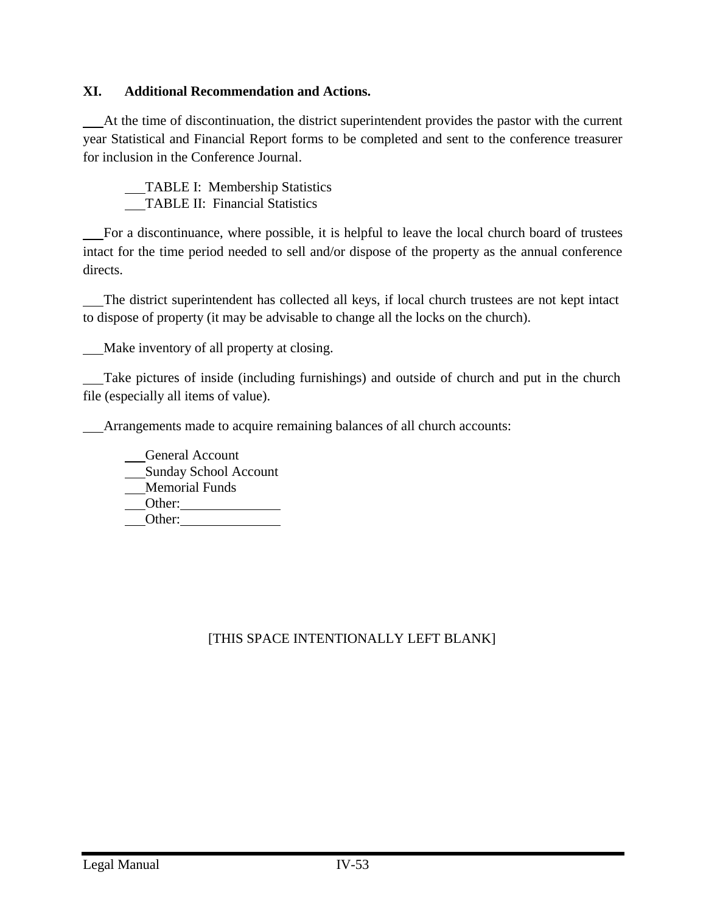### **XI. Additional Recommendation and Actions.**

 At the time of discontinuation, the district superintendent provides the pastor with the current year Statistical and Financial Report forms to be completed and sent to the conference treasurer for inclusion in the Conference Journal.

 TABLE I: Membership Statistics TABLE II: Financial Statistics

 For a discontinuance, where possible, it is helpful to leave the local church board of trustees intact for the time period needed to sell and/or dispose of the property as the annual conference directs.

 The district superintendent has collected all keys, if local church trustees are not kept intact to dispose of property (it may be advisable to change all the locks on the church).

Make inventory of all property at closing.

 Take pictures of inside (including furnishings) and outside of church and put in the church file (especially all items of value).

Arrangements made to acquire remaining balances of all church accounts:

 General Account Sunday School Account Memorial Funds Other: Other:

# [THIS SPACE INTENTIONALLY LEFT BLANK]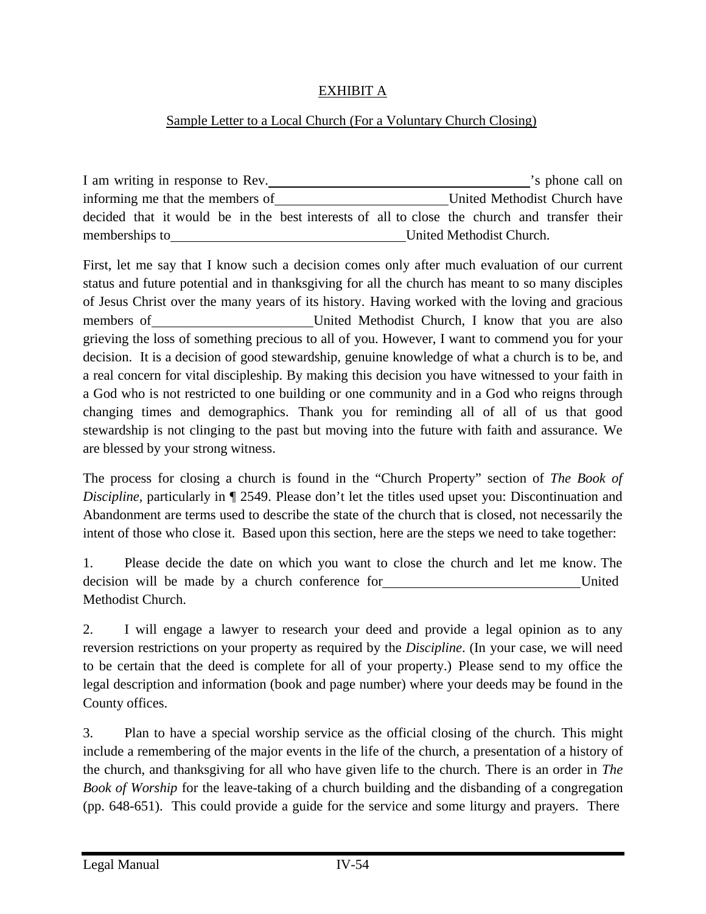### EXHIBIT A

## Sample Letter to a Local Church (For a Voluntary Church Closing)

| I am writing in response to Rev.                                                             | 's phone call on             |
|----------------------------------------------------------------------------------------------|------------------------------|
| informing me that the members of                                                             | United Methodist Church have |
| decided that it would be in the best interests of all to close the church and transfer their |                              |
| memberships to                                                                               | United Methodist Church.     |

First, let me say that I know such a decision comes only after much evaluation of our current status and future potential and in thanksgiving for all the church has meant to so many disciples of Jesus Christ over the many years of its history. Having worked with the loving and gracious members of **United Methodist Church**, I know that you are also grieving the loss of something precious to all of you. However, I want to commend you for your decision. It is a decision of good stewardship, genuine knowledge of what a church is to be, and a real concern for vital discipleship. By making this decision you have witnessed to your faith in a God who is not restricted to one building or one community and in a God who reigns through changing times and demographics. Thank you for reminding all of all of us that good stewardship is not clinging to the past but moving into the future with faith and assurance. We are blessed by your strong witness.

The process for closing a church is found in the "Church Property" section of *The Book of Discipline,* particularly in  $\P$  2549. Please don't let the titles used upset you: Discontinuation and Abandonment are terms used to describe the state of the church that is closed, not necessarily the intent of those who close it. Based upon this section, here are the steps we need to take together:

1. Please decide the date on which you want to close the church and let me know. The decision will be made by a church conference for United Methodist Church.

2. I will engage a lawyer to research your deed and provide a legal opinion as to any reversion restrictions on your property as required by the *Discipline*. (In your case, we will need to be certain that the deed is complete for all of your property.) Please send to my office the legal description and information (book and page number) where your deeds may be found in the County offices.

3. Plan to have a special worship service as the official closing of the church. This might include a remembering of the major events in the life of the church, a presentation of a history of the church, and thanksgiving for all who have given life to the church. There is an order in *The Book of Worship* for the leave-taking of a church building and the disbanding of a congregation (pp. 648-651). This could provide a guide for the service and some liturgy and prayers. There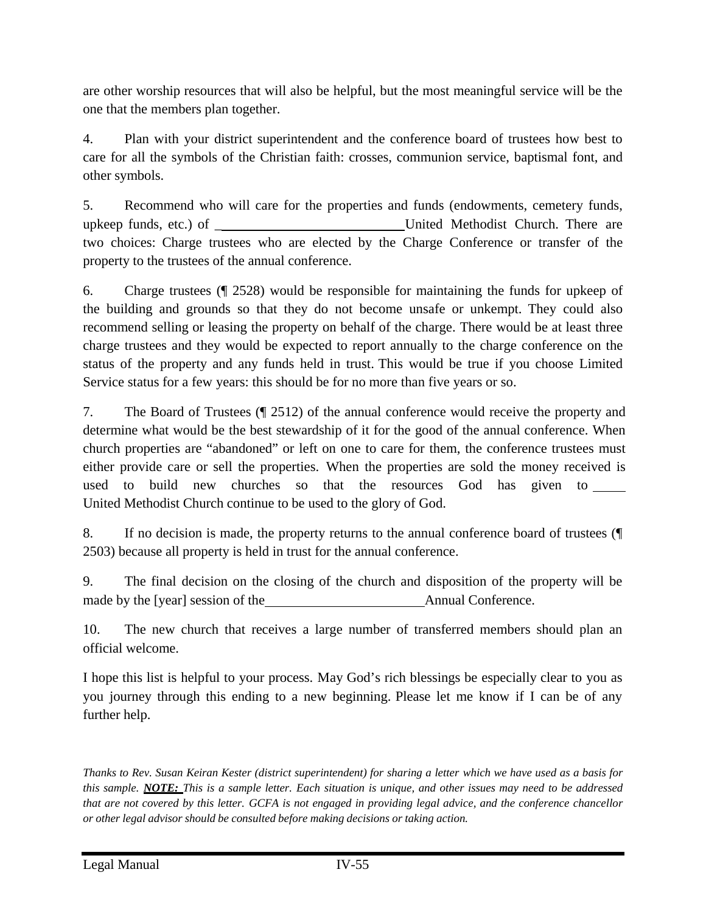are other worship resources that will also be helpful, but the most meaningful service will be the one that the members plan together.

4. Plan with your district superintendent and the conference board of trustees how best to care for all the symbols of the Christian faith: crosses, communion service, baptismal font, and other symbols.

5. Recommend who will care for the properties and funds (endowments, cemetery funds, upkeep funds, etc.) of \_ United Methodist Church. There are two choices: Charge trustees who are elected by the Charge Conference or transfer of the property to the trustees of the annual conference.

6. Charge trustees (¶ 2528) would be responsible for maintaining the funds for upkeep of the building and grounds so that they do not become unsafe or unkempt. They could also recommend selling or leasing the property on behalf of the charge. There would be at least three charge trustees and they would be expected to report annually to the charge conference on the status of the property and any funds held in trust. This would be true if you choose Limited Service status for a few years: this should be for no more than five years or so.

7. The Board of Trustees (¶ 2512) of the annual conference would receive the property and determine what would be the best stewardship of it for the good of the annual conference. When church properties are "abandoned" or left on one to care for them, the conference trustees must either provide care or sell the properties. When the properties are sold the money received is used to build new churches so that the resources God has given to United Methodist Church continue to be used to the glory of God.

8. If no decision is made, the property returns to the annual conference board of trustees (¶ 2503) because all property is held in trust for the annual conference.

9. The final decision on the closing of the church and disposition of the property will be made by the [year] session of the Annual Conference.

10. The new church that receives a large number of transferred members should plan an official welcome.

I hope this list is helpful to your process. May God's rich blessings be especially clear to you as you journey through this ending to a new beginning. Please let me know if I can be of any further help.

*Thanks to Rev. Susan Keiran Kester (district superintendent) for sharing a letter which we have used as a basis for this sample. NOTE: This is a sample letter. Each situation is unique, and other issues may need to be addressed that are not covered by this letter. GCFA is not engaged in providing legal advice, and the conference chancellor or other legal advisor should be consulted before making decisions or taking action.*